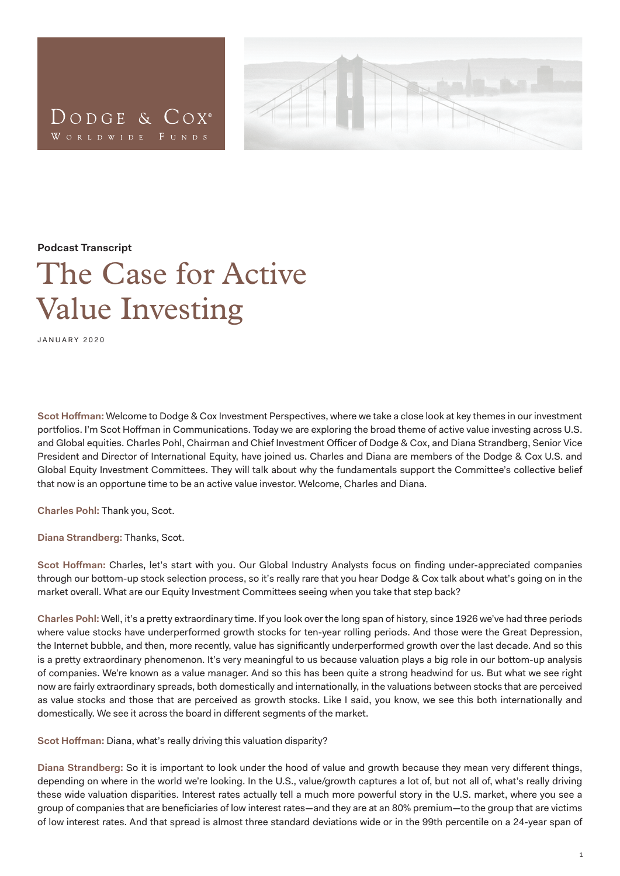



**Podcast Transcript**

## The Case for Active Value Investing

JANUARY 2020

**Scot Hoffman:** Welcome to Dodge & Cox Investment Perspectives, where we take a close look at key themes in our investment portfolios. I'm Scot Hoffman in Communications. Today we are exploring the broad theme of active value investing across U.S. and Global equities. Charles Pohl, Chairman and Chief Investment Officer of Dodge & Cox, and Diana Strandberg, Senior Vice President and Director of International Equity, have joined us. Charles and Diana are members of the Dodge & Cox U.S. and Global Equity Investment Committees. They will talk about why the fundamentals support the Committee's collective belief that now is an opportune time to be an active value investor. Welcome, Charles and Diana.

**Charles Pohl:** Thank you, Scot.

**Diana Strandberg:** Thanks, Scot.

**Scot Hoffman:** Charles, let's start with you. Our Global Industry Analysts focus on finding under-appreciated companies through our bottom-up stock selection process, so it's really rare that you hear Dodge & Cox talk about what's going on in the market overall. What are our Equity Investment Committees seeing when you take that step back?

**Charles Pohl:** Well, it's a pretty extraordinary time. If you look over the long span of history, since 1926 we've had three periods where value stocks have underperformed growth stocks for ten-year rolling periods. And those were the Great Depression, the Internet bubble, and then, more recently, value has significantly underperformed growth over the last decade. And so this is a pretty extraordinary phenomenon. It's very meaningful to us because valuation plays a big role in our bottom-up analysis of companies. We're known as a value manager. And so this has been quite a strong headwind for us. But what we see right now are fairly extraordinary spreads, both domestically and internationally, in the valuations between stocks that are perceived as value stocks and those that are perceived as growth stocks. Like I said, you know, we see this both internationally and domestically. We see it across the board in different segments of the market.

**Scot Hoffman:** Diana, what's really driving this valuation disparity?

**Diana Strandberg:** So it is important to look under the hood of value and growth because they mean very different things, depending on where in the world we're looking. In the U.S., value/growth captures a lot of, but not all of, what's really driving these wide valuation disparities. Interest rates actually tell a much more powerful story in the U.S. market, where you see a group of companies that are beneficiaries of low interest rates—and they are at an 80% premium—to the group that are victims of low interest rates. And that spread is almost three standard deviations wide or in the 99th percentile on a 24-year span of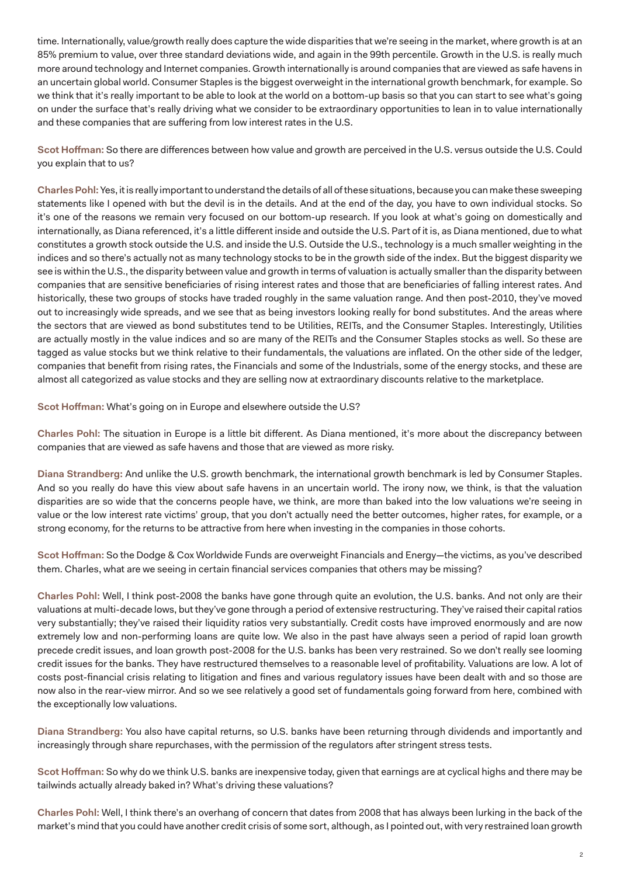time. Internationally, value/growth really does capture the wide disparities that we're seeing in the market, where growth is at an 85% premium to value, over three standard deviations wide, and again in the 99th percentile. Growth in the U.S. is really much more around technology and Internet companies. Growth internationally is around companies that are viewed as safe havens in an uncertain global world. Consumer Staples is the biggest overweight in the international growth benchmark, for example. So we think that it's really important to be able to look at the world on a bottom-up basis so that you can start to see what's going on under the surface that's really driving what we consider to be extraordinary opportunities to lean in to value internationally and these companies that are suffering from low interest rates in the U.S.

**Scot Hoffman:** So there are differences between how value and growth are perceived in the U.S. versus outside the U.S. Could you explain that to us?

**Charles Pohl:** Yes, it is really important to understand the details of all of these situations, because you can make these sweeping statements like I opened with but the devil is in the details. And at the end of the day, you have to own individual stocks. So it's one of the reasons we remain very focused on our bottom-up research. If you look at what's going on domestically and internationally, as Diana referenced, it's a little different inside and outside the U.S. Part of it is, as Diana mentioned, due to what constitutes a growth stock outside the U.S. and inside the U.S. Outside the U.S., technology is a much smaller weighting in the indices and so there's actually not as many technology stocks to be in the growth side of the index. But the biggest disparity we see is within the U.S., the disparity between value and growth in terms of valuation is actually smaller than the disparity between companies that are sensitive beneficiaries of rising interest rates and those that are beneficiaries of falling interest rates. And historically, these two groups of stocks have traded roughly in the same valuation range. And then post-2010, they've moved out to increasingly wide spreads, and we see that as being investors looking really for bond substitutes. And the areas where the sectors that are viewed as bond substitutes tend to be Utilities, REITs, and the Consumer Staples. Interestingly, Utilities are actually mostly in the value indices and so are many of the REITs and the Consumer Staples stocks as well. So these are tagged as value stocks but we think relative to their fundamentals, the valuations are inflated. On the other side of the ledger, companies that benefit from rising rates, the Financials and some of the Industrials, some of the energy stocks, and these are almost all categorized as value stocks and they are selling now at extraordinary discounts relative to the marketplace.

**Scot Hoffman:** What's going on in Europe and elsewhere outside the U.S?

**Charles Pohl:** The situation in Europe is a little bit different. As Diana mentioned, it's more about the discrepancy between companies that are viewed as safe havens and those that are viewed as more risky.

**Diana Strandberg:** And unlike the U.S. growth benchmark, the international growth benchmark is led by Consumer Staples. And so you really do have this view about safe havens in an uncertain world. The irony now, we think, is that the valuation disparities are so wide that the concerns people have, we think, are more than baked into the low valuations we're seeing in value or the low interest rate victims' group, that you don't actually need the better outcomes, higher rates, for example, or a strong economy, for the returns to be attractive from here when investing in the companies in those cohorts.

**Scot Hoffman:** So the Dodge & Cox Worldwide Funds are overweight Financials and Energy—the victims, as you've described them. Charles, what are we seeing in certain financial services companies that others may be missing?

**Charles Pohl:** Well, I think post-2008 the banks have gone through quite an evolution, the U.S. banks. And not only are their valuations at multi-decade lows, but they've gone through a period of extensive restructuring. They've raised their capital ratios very substantially; they've raised their liquidity ratios very substantially. Credit costs have improved enormously and are now extremely low and non-performing loans are quite low. We also in the past have always seen a period of rapid loan growth precede credit issues, and loan growth post-2008 for the U.S. banks has been very restrained. So we don't really see looming credit issues for the banks. They have restructured themselves to a reasonable level of profitability. Valuations are low. A lot of costs post-financial crisis relating to litigation and fines and various regulatory issues have been dealt with and so those are now also in the rear-view mirror. And so we see relatively a good set of fundamentals going forward from here, combined with the exceptionally low valuations.

**Diana Strandberg:** You also have capital returns, so U.S. banks have been returning through dividends and importantly and increasingly through share repurchases, with the permission of the regulators after stringent stress tests.

**Scot Hoffman:** So why do we think U.S. banks are inexpensive today, given that earnings are at cyclical highs and there may be tailwinds actually already baked in? What's driving these valuations?

**Charles Pohl:** Well, I think there's an overhang of concern that dates from 2008 that has always been lurking in the back of the market's mind that you could have another credit crisis of some sort, although, as I pointed out, with very restrained loan growth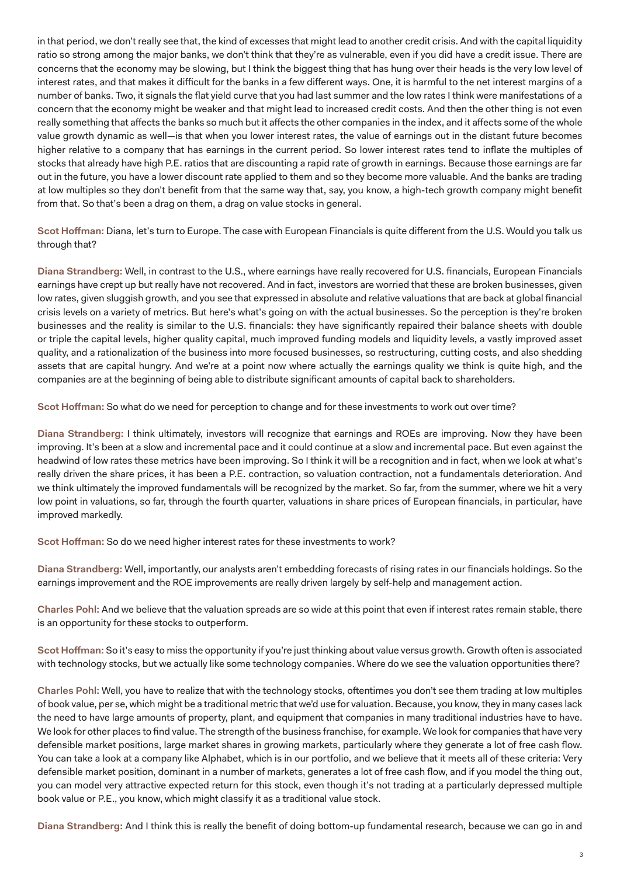in that period, we don't really see that, the kind of excesses that might lead to another credit crisis. And with the capital liquidity ratio so strong among the major banks, we don't think that they're as vulnerable, even if you did have a credit issue. There are concerns that the economy may be slowing, but I think the biggest thing that has hung over their heads is the very low level of interest rates, and that makes it difficult for the banks in a few different ways. One, it is harmful to the net interest margins of a number of banks. Two, it signals the flat yield curve that you had last summer and the low rates I think were manifestations of a concern that the economy might be weaker and that might lead to increased credit costs. And then the other thing is not even really something that affects the banks so much but it affects the other companies in the index, and it affects some of the whole value growth dynamic as well—is that when you lower interest rates, the value of earnings out in the distant future becomes higher relative to a company that has earnings in the current period. So lower interest rates tend to inflate the multiples of stocks that already have high P.E. ratios that are discounting a rapid rate of growth in earnings. Because those earnings are far out in the future, you have a lower discount rate applied to them and so they become more valuable. And the banks are trading at low multiples so they don't benefit from that the same way that, say, you know, a high-tech growth company might benefit from that. So that's been a drag on them, a drag on value stocks in general.

**Scot Hoffman:** Diana, let's turn to Europe. The case with European Financials is quite different from the U.S. Would you talk us through that?

**Diana Strandberg:** Well, in contrast to the U.S., where earnings have really recovered for U.S. financials, European Financials earnings have crept up but really have not recovered. And in fact, investors are worried that these are broken businesses, given low rates, given sluggish growth, and you see that expressed in absolute and relative valuations that are back at global financial crisis levels on a variety of metrics. But here's what's going on with the actual businesses. So the perception is they're broken businesses and the reality is similar to the U.S. financials: they have significantly repaired their balance sheets with double or triple the capital levels, higher quality capital, much improved funding models and liquidity levels, a vastly improved asset quality, and a rationalization of the business into more focused businesses, so restructuring, cutting costs, and also shedding assets that are capital hungry. And we're at a point now where actually the earnings quality we think is quite high, and the companies are at the beginning of being able to distribute significant amounts of capital back to shareholders.

**Scot Hoffman:** So what do we need for perception to change and for these investments to work out over time?

**Diana Strandberg:** I think ultimately, investors will recognize that earnings and ROEs are improving. Now they have been improving. It's been at a slow and incremental pace and it could continue at a slow and incremental pace. But even against the headwind of low rates these metrics have been improving. So I think it will be a recognition and in fact, when we look at what's really driven the share prices, it has been a P.E. contraction, so valuation contraction, not a fundamentals deterioration. And we think ultimately the improved fundamentals will be recognized by the market. So far, from the summer, where we hit a very low point in valuations, so far, through the fourth quarter, valuations in share prices of European financials, in particular, have improved markedly.

**Scot Hoffman:** So do we need higher interest rates for these investments to work?

**Diana Strandberg:** Well, importantly, our analysts aren't embedding forecasts of rising rates in our financials holdings. So the earnings improvement and the ROE improvements are really driven largely by self-help and management action.

**Charles Pohl:** And we believe that the valuation spreads are so wide at this point that even if interest rates remain stable, there is an opportunity for these stocks to outperform.

**Scot Hoffman:** So it's easy to miss the opportunity if you're just thinking about value versus growth. Growth often is associated with technology stocks, but we actually like some technology companies. Where do we see the valuation opportunities there?

**Charles Pohl:** Well, you have to realize that with the technology stocks, oftentimes you don't see them trading at low multiples of book value, per se, which might be a traditional metric that we'd use for valuation. Because, you know, they in many cases lack the need to have large amounts of property, plant, and equipment that companies in many traditional industries have to have. We look for other places to find value. The strength of the business franchise, for example. We look for companies that have very defensible market positions, large market shares in growing markets, particularly where they generate a lot of free cash flow. You can take a look at a company like Alphabet, which is in our portfolio, and we believe that it meets all of these criteria: Very defensible market position, dominant in a number of markets, generates a lot of free cash flow, and if you model the thing out, you can model very attractive expected return for this stock, even though it's not trading at a particularly depressed multiple book value or P.E., you know, which might classify it as a traditional value stock.

**Diana Strandberg:** And I think this is really the benefit of doing bottom-up fundamental research, because we can go in and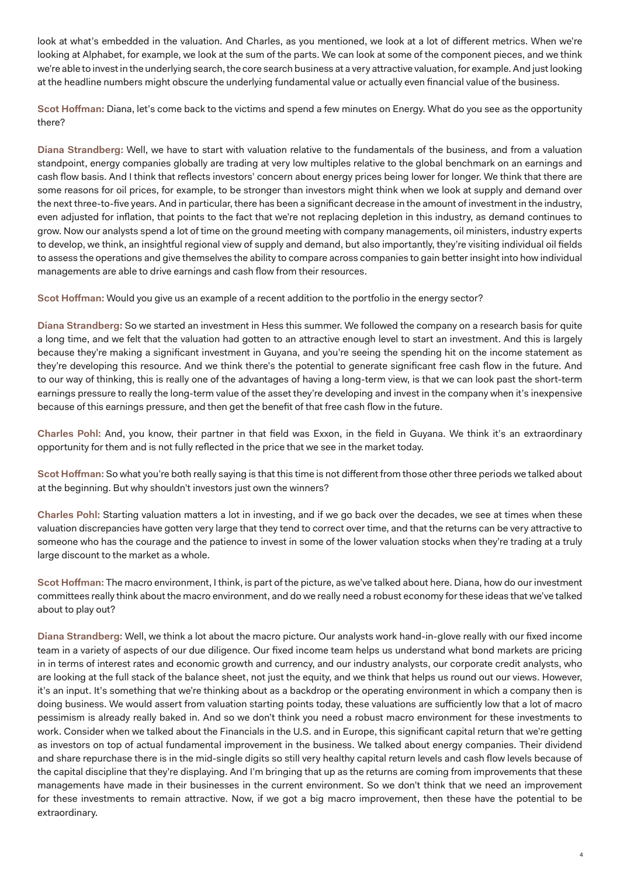look at what's embedded in the valuation. And Charles, as you mentioned, we look at a lot of different metrics. When we're looking at Alphabet, for example, we look at the sum of the parts. We can look at some of the component pieces, and we think we're able to invest in the underlying search, the core search business at a very attractive valuation, for example. And just looking at the headline numbers might obscure the underlying fundamental value or actually even financial value of the business.

**Scot Hoffman:** Diana, let's come back to the victims and spend a few minutes on Energy. What do you see as the opportunity there?

**Diana Strandberg:** Well, we have to start with valuation relative to the fundamentals of the business, and from a valuation standpoint, energy companies globally are trading at very low multiples relative to the global benchmark on an earnings and cash flow basis. And I think that reflects investors' concern about energy prices being lower for longer. We think that there are some reasons for oil prices, for example, to be stronger than investors might think when we look at supply and demand over the next three-to-five years. And in particular, there has been a significant decrease in the amount of investment in the industry, even adjusted for inflation, that points to the fact that we're not replacing depletion in this industry, as demand continues to grow. Now our analysts spend a lot of time on the ground meeting with company managements, oil ministers, industry experts to develop, we think, an insightful regional view of supply and demand, but also importantly, they're visiting individual oil fields to assess the operations and give themselves the ability to compare across companies to gain better insight into how individual managements are able to drive earnings and cash flow from their resources.

**Scot Hoffman:** Would you give us an example of a recent addition to the portfolio in the energy sector?

**Diana Strandberg:** So we started an investment in Hess this summer. We followed the company on a research basis for quite a long time, and we felt that the valuation had gotten to an attractive enough level to start an investment. And this is largely because they're making a significant investment in Guyana, and you're seeing the spending hit on the income statement as they're developing this resource. And we think there's the potential to generate significant free cash flow in the future. And to our way of thinking, this is really one of the advantages of having a long-term view, is that we can look past the short-term earnings pressure to really the long-term value of the asset they're developing and invest in the company when it's inexpensive because of this earnings pressure, and then get the benefit of that free cash flow in the future.

**Charles Pohl:** And, you know, their partner in that field was Exxon, in the field in Guyana. We think it's an extraordinary opportunity for them and is not fully reflected in the price that we see in the market today.

**Scot Hoffman:** So what you're both really saying is that this time is not different from those other three periods we talked about at the beginning. But why shouldn't investors just own the winners?

**Charles Pohl:** Starting valuation matters a lot in investing, and if we go back over the decades, we see at times when these valuation discrepancies have gotten very large that they tend to correct over time, and that the returns can be very attractive to someone who has the courage and the patience to invest in some of the lower valuation stocks when they're trading at a truly large discount to the market as a whole.

**Scot Hoffman:** The macro environment, I think, is part of the picture, as we've talked about here. Diana, how do our investment committees really think about the macro environment, and do we really need a robust economy for these ideas that we've talked about to play out?

**Diana Strandberg:** Well, we think a lot about the macro picture. Our analysts work hand-in-glove really with our fixed income team in a variety of aspects of our due diligence. Our fixed income team helps us understand what bond markets are pricing in in terms of interest rates and economic growth and currency, and our industry analysts, our corporate credit analysts, who are looking at the full stack of the balance sheet, not just the equity, and we think that helps us round out our views. However, it's an input. It's something that we're thinking about as a backdrop or the operating environment in which a company then is doing business. We would assert from valuation starting points today, these valuations are sufficiently low that a lot of macro pessimism is already really baked in. And so we don't think you need a robust macro environment for these investments to work. Consider when we talked about the Financials in the U.S. and in Europe, this significant capital return that we're getting as investors on top of actual fundamental improvement in the business. We talked about energy companies. Their dividend and share repurchase there is in the mid-single digits so still very healthy capital return levels and cash flow levels because of the capital discipline that they're displaying. And I'm bringing that up as the returns are coming from improvements that these managements have made in their businesses in the current environment. So we don't think that we need an improvement for these investments to remain attractive. Now, if we got a big macro improvement, then these have the potential to be extraordinary.